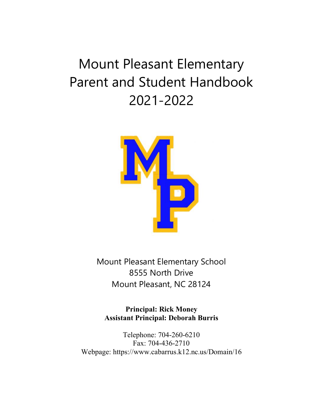# Mount Pleasant Elementary Parent and Student Handbook 2021-2022



Mount Pleasant Elementary School 8555 North Drive Mount Pleasant, NC 28124

**Principal: Rick Money Assistant Principal: Deborah Burris**

Telephone: 704-260-6210 Fax: 704-436-2710 Webpage: https://www.cabarrus.k12.nc.us/Domain/16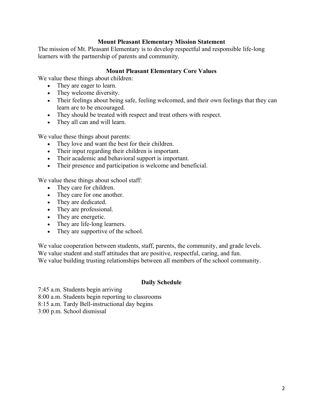## **Mount Pleasant Elementary Mission Statement**

The mission of Mt. Pleasant Elementary is to develop respectful and responsible life-long learners with the partnership of parents and community.

## **Mount Pleasant Elementary Core Values**

We value these things about children:

- They are eager to learn.
- They welcome diversity.
- Their feelings about being safe, feeling welcomed, and their own feelings that they can learn are to be encouraged.
- They should be treated with respect and treat others with respect.
- They all can and will learn.

We value these things about parents:

- They love and want the best for their children.
- Their input regarding their children is important.
- Their academic and behavioral support is important.
- Their presence and participation is welcome and beneficial.

We value these things about school staff:

- They care for children.
- They care for one another.
- They are dedicated.
- They are professional.
- They are energetic.
- They are life-long learners.
- They are supportive of the school.

We value cooperation between students, staff, parents, the community, and grade levels. We value student and staff attitudes that are positive, respectful, caring, and fun. We value building trusting relationships between all members of the school community.

# **Daily Schedule**

7:45 a.m. Students begin arriving

8:00 a.m. Students begin reporting to classrooms

8:15 a.m. Tardy Bell-instructional day begins

3:00 p.m. School dismissal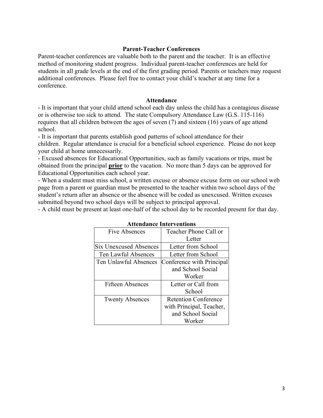## **Parent-Teacher Conferences**

Parent-teacher conferences are valuable both to the parent and the teacher. It is an effective method of monitoring student progress. Individual parent-teacher conferences are held for students in all grade levels at the end of the first grading period. Parents or teachers may request additional conferences. Please feel free to contact your child's teacher at any time for a conference.

#### **Attendance**

- It is important that your child attend school each day unless the child has a contagious disease or is otherwise too sick to attend. The state Compulsory Attendance Law (G.S. 115-116) requires that all children between the ages of seven (7) and sixteen (16) years of age attend school.

- It is important that parents establish good patterns of school attendance for their children. Regular attendance is crucial for a beneficial school experience. Please do not keep your child at home unnecessarily.

- Excused absences for Educational Opportunities, such as family vacations or trips, must be obtained from the principal **prior** to the vacation. No more than 5 days can be approved for Educational Opportunities each school year.

- When a student must miss school, a written excuse or absence excuse form on our school web page from a parent or guardian must be presented to the teacher within two school days of the student's return after an absence or the absence will be coded as unexcused. Written excuses submitted beyond two school days will be subject to principal approval.

- A child must be present at least one-half of the school day to be recorded present for that day.

| Five Absences                 | Teacher Phone Call or       |
|-------------------------------|-----------------------------|
|                               | Letter                      |
| <b>Six Unexcused Absences</b> | Letter from School          |
| Ten Lawful Absences           | Letter from School          |
| Ten Unlawful Absences         | Conference with Principal   |
|                               | and School Social           |
|                               | Worker                      |
| <b>Fifteen Absences</b>       | Letter or Call from         |
|                               | School                      |
| <b>Twenty Absences</b>        | <b>Retention Conference</b> |
|                               | with Principal, Teacher,    |
|                               | and School Social           |
|                               | Worker                      |

## **Attendance Interventions**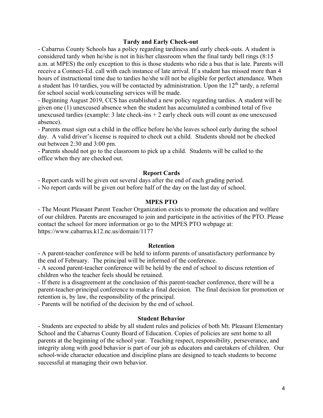#### **Tardy and Early Check-out**

- Cabarrus County Schools has a policy regarding tardiness and early check-outs. A student is considered tardy when he/she is not in his/her classroom when the final tardy bell rings (8:15 a.m. at MPES) the only exception to this is those students who ride a bus that is late. Parents will receive a Connect-Ed. call with each instance of late arrival. If a student has missed more than 4 hours of instructional time due to tardies he/she will not be eligible for perfect attendance. When a student has 10 tardies, you will be contacted by administration. Upon the  $12<sup>th</sup>$  tardy, a referral for school social work/counseling services will be made.

- Beginning August 2019, CCS has established a new policy regarding tardies. A student will be given one (1) unexcused absence when the student has accumulated a combined total of five unexcused tardies (example:  $3$  late check-ins  $+ 2$  early check outs will count as one unexcused absence).

- Parents must sign out a child in the office before he/she leaves school early during the school day. A valid driver's license is required to check out a child. Students should not be checked out between 2:30 and 3:00 pm.

- Parents should not go to the classroom to pick up a child. Students will be called to the office when they are checked out.

#### **Report Cards**

- Report cards will be given out several days after the end of each grading period.

- No report cards will be given out before half of the day on the last day of school.

#### **MPES PTO**

- The Mount Pleasant Parent Teacher Organization exists to promote the education and welfare of our children. Parents are encouraged to join and participate in the activities of the PTO. Please contact the school for more information or go to the MPES PTO webpage at: https://www.cabarrus.k12.nc.us/domain/1177

#### **Retention**

- A parent-teacher conference will be held to inform parents of unsatisfactory performance by the end of February. The principal will be informed of the conference.

- A second parent-teacher conference will be held by the end of school to discuss retention of children who the teacher feels should be retained.

- If there is a disagreement at the conclusion of this parent-teacher conference, there will be a parent-teacher-principal conference to make a final decision. The final decision for promotion or retention is, by law, the responsibility of the principal.

- Parents will be notified of the decision by the end of school.

#### **Student Behavior**

- Students are expected to abide by all student rules and policies of both Mt. Pleasant Elementary School and the Cabarrus County Board of Education. Copies of policies are sent home to all parents at the beginning of the school year. Teaching respect, responsibility, perseverance, and integrity along with good behavior is part of our job as educators and caretakers of children. Our school-wide character education and discipline plans are designed to teach students to become successful at managing their own behavior.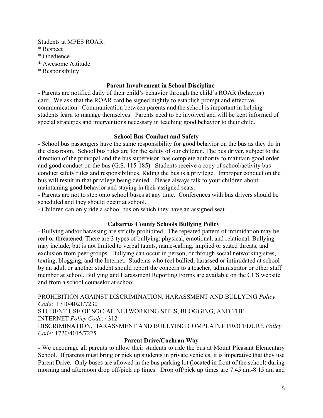Students at MPES ROAR:

- \* Respect
- \* Obedience
- \* Awesome Attitude
- \* Responsibility

## **Parent Involvement in School Discipline**

- Parents are notified daily of their child's behavior through the child's ROAR (behavior) card. We ask that the ROAR card be signed nightly to establish prompt and effective communication. Communication between parents and the school is important in helping students learn to manage themselves. Parents need to be involved and will be kept informed of special strategies and interventions necessary in teaching good behavior to their child.

## **School Bus Conduct and Safety**

- School bus passengers have the same responsibility for good behavior on the bus as they do in the classroom. School bus rules are for the safety of our children. The bus driver, subject to the direction of the principal and the bus supervisor, has complete authority to maintain good order and good conduct on the bus (G.S. 115-185). Students receive a copy of school/activity bus conduct safety rules and responsibilities. Riding the bus is a privilege. Improper conduct on the bus will result in that privilege being denied. Please always talk to your children about maintaining good behavior and staying in their assigned seats.

- Parents are not to step onto school buses at any time. Conferences with bus drivers should be scheduled and they should occur at school.

- Children can only ride a school bus on which they have an assigned seat.

# **Cabarrus County Schools Bullying Policy**

- Bullying and/or harassing are strictly prohibited. The repeated pattern of intimidation may be real or threatened. There are 3 types of bullying: physical, emotional, and relational. Bullying may include, but is not limited to verbal taunts, name-calling, implied or stated threats, and exclusion from peer groups. Bullying can occur in person, or through social networking sites, texting, blogging, and the Internet. Students who feel bullied, harassed or intimidated at school by an adult or another student should report the concern to a teacher, administrator or other staff member at school. Bullying and Harassment Reporting Forms are available on the CCS website and from a school counselor at school.

PROHIBITION AGAINST DISCRIMINATION, HARASSMENT AND BULLYING *Policy Code*: 1710/4021/7230 STUDENT USE OF SOCIAL NETWORKING SITES, BLOGGING, AND THE INTERNET *Policy Code*: 4312 DISCRIMINATION, HARASSMENT AND BULLYING COMPLAINT PROCEDURE *Policy Code:* 1720/4015/7225

# **Parent Drive/Cochran Way**

- We encourage all parents to allow their students to ride the bus at Mount Pleasant Elementary School. If parents must bring or pick up students in private vehicles, it is imperative that they use Parent Drive. Only buses are allowed in the bus parking lot (located in front of the school) during morning and afternoon drop off/pick up times. Drop off/pick up times are 7:45 am-8:15 am and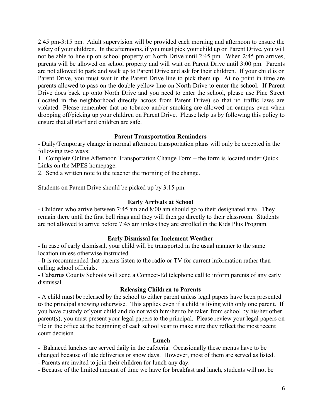2:45 pm-3:15 pm. Adult supervision will be provided each morning and afternoon to ensure the safety of your children. In the afternoons, if you must pick your child up on Parent Drive, you will not be able to line up on school property or North Drive until 2:45 pm. When 2:45 pm arrives, parents will be allowed on school property and will wait on Parent Drive until 3:00 pm. Parents are not allowed to park and walk up to Parent Drive and ask for their children. If your child is on Parent Drive, you must wait in the Parent Drive line to pick them up. At no point in time are parents allowed to pass on the double yellow line on North Drive to enter the school. If Parent Drive does back up onto North Drive and you need to enter the school, please use Pine Street (located in the neighborhood directly across from Parent Drive) so that no traffic laws are violated. Please remember that no tobacco and/or smoking are allowed on campus even when dropping off/picking up your children on Parent Drive. Please help us by following this policy to ensure that all staff and children are safe.

# **Parent Transportation Reminders**

- Daily/Temporary change in normal afternoon transportation plans will only be accepted in the following two ways:

1. Complete Online Afternoon Transportation Change Form – the form is located under Quick Links on the MPES homepage.

2. Send a written note to the teacher the morning of the change.

Students on Parent Drive should be picked up by 3:15 pm.

## **Early Arrivals at School**

- Children who arrive between 7:45 am and 8:00 am should go to their designated area. They remain there until the first bell rings and they will then go directly to their classroom. Students are not allowed to arrive before  $7:45$  am unless they are enrolled in the Kids Plus Program.

## **Early Dismissal for Inclement Weather**

- In case of early dismissal, your child will be transported in the usual manner to the same location unless otherwise instructed.

- It is recommended that parents listen to the radio or TV for current information rather than calling school officials.

- Cabarrus County Schools will send a Connect-Ed telephone call to inform parents of any early dismissal.

## **Releasing Children to Parents**

- A child must be released by the school to either parent unless legal papers have been presented to the principal showing otherwise. This applies even if a child is living with only one parent. If you have custody of your child and do not wish him/her to be taken from school by his/her other parent(s), you must present your legal papers to the principal. Please review your legal papers on file in the office at the beginning of each school year to make sure they reflect the most recent court decision.

## **Lunch**

- Balanced lunches are served daily in the cafeteria. Occasionally these menus have to be changed because of late deliveries or snow days. However, most of them are served as listed.

- Parents are invited to join their children for lunch any day.

- Because of the limited amount of time we have for breakfast and lunch, students will not be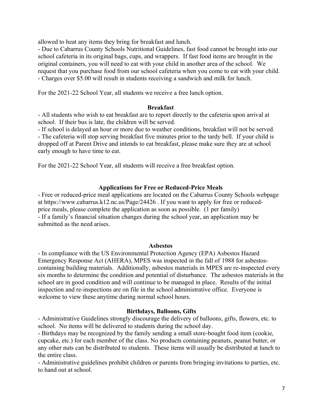allowed to heat any items they bring for breakfast and lunch.

- Due to Cabarrus County Schools Nutritional Guidelines, fast food cannot be brought into our school cafeteria in its original bags, cups, and wrappers. If fast food items are brought in the original containers, you will need to eat with your child in another area of the school. We request that you purchase food from our school cafeteria when you come to eat with your child. - Charges over \$5.00 will result in students receiving a sandwich and milk for lunch.

For the 2021-22 School Year, all students we receive a free lunch option.

## **Breakfast**

- All students who wish to eat breakfast are to report directly to the cafeteria upon arrival at school. If their bus is late, the children will be served.

- If school is delayed an hour or more due to weather conditions, breakfast will not be served. - The cafeteria will stop serving breakfast five minutes prior to the tardy bell. If your child is dropped off at Parent Drive and intends to eat breakfast, please make sure they are at school early enough to have time to eat.

For the 2021-22 School Year, all students will receive a free breakfast option.

## **Applications for Free or Reduced-Price Meals**

- Free or reduced-price meal applications are located on the Cabarrus County Schools webpage at https://www.cabarrus.k12.nc.us/Page/24426 . If you want to apply for free or reducedprice meals, please complete the application as soon as possible. (1 per family) - If a family's financial situation changes during the school year, an application may be submitted as the need arises.

#### **Asbestos**

- In compliance with the US Environmental Protection Agency (EPA) Asbestos Hazard Emergency Response Act (AHERA), MPES was inspected in the fall of 1988 for asbestoscontaining building materials. Additionally, asbestos materials in MPES are re-inspected every six months to determine the condition and potential of disturbance. The asbestos materials in the school are in good condition and will continue to be managed in place. Results of the initial inspection and re-inspections are on file in the school administrative office. Everyone is welcome to view these anytime during normal school hours.

#### **Birthdays, Balloons, Gifts**

- Administrative Guidelines strongly discourage the delivery of balloons, gifts, flowers, etc. to school. No items will be delivered to students during the school day.

- Birthdays may be recognized by the family sending a small store-bought food item (cookie, cupcake, etc.) for each member of the class. No products containing peanuts, peanut butter, or any other nuts can be distributed to students. These items will usually be distributed at lunch to the entire class.

- Administrative guidelines prohibit children or parents from bringing invitations to parties, etc. to hand out at school.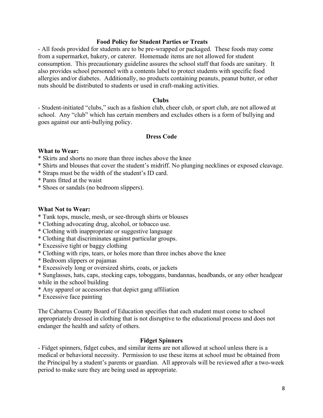#### **Food Policy for Student Parties or Treats**

- All foods provided for students are to be pre-wrapped or packaged. These foods may come from a supermarket, bakery, or caterer. Homemade items are not allowed for student consumption. This precautionary guideline assures the school staff that foods are sanitary. It also provides school personnel with a contents label to protect students with specific food allergies and/or diabetes. Additionally, no products containing peanuts, peanut butter, or other nuts should be distributed to students or used in craft-making activities.

#### **Clubs**

- Student-initiated "clubs," such as a fashion club, cheer club, or sport club, are not allowed at school. Any "club" which has certain members and excludes others is a form of bullying and goes against our anti-bullying policy.

## **Dress Code**

## **What to Wear:**

- \* Skirts and shorts no more than three inches above the knee
- \* Shirts and blouses that cover the student's midriff. No plunging necklines or exposed cleavage.
- \* Straps must be the width of the student's ID card.
- \* Pants fitted at the waist
- \* Shoes or sandals (no bedroom slippers).

#### **What Not to Wear:**

- \* Tank tops, muscle, mesh, or see-through shirts or blouses
- \* Clothing advocating drug, alcohol, or tobacco use.
- \* Clothing with inappropriate or suggestive language
- \* Clothing that discriminates against particular groups.
- \* Excessive tight or baggy clothing
- \* Clothing with rips, tears, or holes more than three inches above the knee
- \* Bedroom slippers or pajamas
- \* Excessively long or oversized shirts, coats, or jackets
- \* Sunglasses, hats, caps, stocking caps, toboggans, bandannas, headbands, or any other headgear while in the school building
- \* Any apparel or accessories that depict gang affiliation
- \* Excessive face painting

The Cabarrus County Board of Education specifies that each student must come to school appropriately dressed in clothing that is not disruptive to the educational process and does not endanger the health and safety of others.

## **Fidget Spinners**

- Fidget spinners, fidget cubes, and similar items are not allowed at school unless there is a medical or behavioral necessity. Permission to use these items at school must be obtained from the Principal by a student's parents or guardian. All approvals will be reviewed after a two-week period to make sure they are being used as appropriate.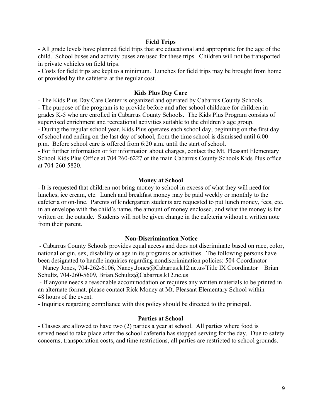#### **Field Trips**

- All grade levels have planned field trips that are educational and appropriate for the age of the child. School buses and activity buses are used for these trips. Children will not be transported in private vehicles on field trips.

- Costs for field trips are kept to a minimum. Lunches for field trips may be brought from home or provided by the cafeteria at the regular cost.

#### **Kids Plus Day Care**

- The Kids Plus Day Care Center is organized and operated by Cabarrus County Schools. - The purpose of the program is to provide before and after school childcare for children in grades K-5 who are enrolled in Cabarrus County Schools. The Kids Plus Program consists of supervised enrichment and recreational activities suitable to the children's age group. - During the regular school year, Kids Plus operates each school day, beginning on the first day of school and ending on the last day of school, from the time school is dismissed until 6:00 p.m. Before school care is offered from 6:20 a.m. until the start of school.

- For further information or for information about charges, contact the Mt. Pleasant Elementary School Kids Plus Office at 704 260-6227 or the main Cabarrus County Schools Kids Plus office at 704-260-5820.

#### **Money at School**

- It is requested that children not bring money to school in excess of what they will need for lunches, ice cream, etc. Lunch and breakfast money may be paid weekly or monthly to the cafeteria or on-line. Parents of kindergarten students are requested to put lunch money, fees, etc. in an envelope with the child's name, the amount of money enclosed, and what the money is for written on the outside. Students will not be given change in the cafeteria without a written note from their parent.

#### **Non-Discrimination Notice**

- Cabarrus County Schools provides equal access and does not discriminate based on race, color, national origin, sex, disability or age in its programs or activities. The following persons have been designated to handle inquiries regarding nondiscrimination policies: 504 Coordinator  $-$  Nancy Jones, 704-262-6106, Nancy.Jones@Cabarrus.k12.nc.us/Title IX Coordinator  $-$  Brian Schultz, 704-260-5609, Brian.Schultz@Cabarrus.k12.nc.us

- If anyone needs a reasonable accommodation or requires any written materials to be printed in an alternate format, please contact Rick Money at Mt. Pleasant Elementary School within 48 hours of the event.

- Inquiries regarding compliance with this policy should be directed to the principal.

#### **Parties at School**

- Classes are allowed to have two (2) parties a year at school. All parties where food is served need to take place after the school cafeteria has stopped serving for the day. Due to safety concerns, transportation costs, and time restrictions, all parties are restricted to school grounds.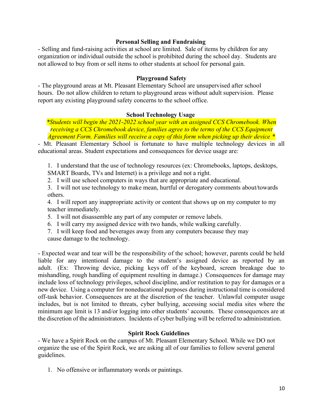## **Personal Selling and Fundraising**

- Selling and fund-raising activities at school are limited. Sale of items by children for any organization or individual outside the school is prohibited during the school day. Students are not allowed to buy from or sell items to other students at school for personal gain.

## **Playground Safety**

- The playground areas at Mt. Pleasant Elementary School are unsupervised after school hours. Do not allow children to return to playground areas without adult supervision. Please report any existing playground safety concerns to the school office.

## **School Technology Usage**

*\*Students will begin the 2021-2022 school year with an assigned CCS Chromebook. When receiving a CCS Chromebook device, families agree to the terms of the CCS Equipment Agreement Form. Families will receive a copy of this form when picking up their device \**

- Mt. Pleasant Elementary School is fortunate to have multiple technology devices in all educational areas. Student expectations and consequences for device usage are:

1. I understand that the use of technology resources (ex: Chromebooks, laptops, desktops, SMART Boards, TVs and Internet) is a privilege and not a right.

2. I will use school computers in ways that are appropriate and educational.

3. I will not use technology to make mean, hurtful or derogatory comments about/towards others.

4. I will report any inappropriate activity or content that shows up on my computer to my teacher immediately.

- 5. I will not disassemble any part of any computer or remove labels.
- 6. I will carry my assigned device with two hands, while walking carefully.
- 7. I will keep food and beverages away from any computers because they may cause damage to the technology.

- Expected wear and tear will be the responsibility of the school; however, parents could be held liable for any intentional damage to the student's assigned device as reported by an adult. (Ex: Throwing device, picking keys off of the keyboard, screen breakage due to mishandling, rough handling of equipment resulting in damage.) Consequences for damage may include loss of technology privileges, school discipline, and/or restitution to pay for damages or a new device. Using a computer for noneducational purposes during instructional time is considered off-task behavior. Consequences are at the discretion of the teacher. Unlawful computer usage includes, but is not limited to threats, cyber bullying, accessing social media sites where the minimum age limit is 13 and/or logging into other students' accounts. These consequences are at the discretion of the administrators. Incidents of cyber bullying will be referred to administration.

## **Spirit Rock Guidelines**

- We have a Spirit Rock on the campus of Mt. Pleasant Elementary School. While we DO not organize the use of the Spirit Rock, we are asking all of our families to follow several general guidelines.

1. No offensive or inflammatory words or paintings.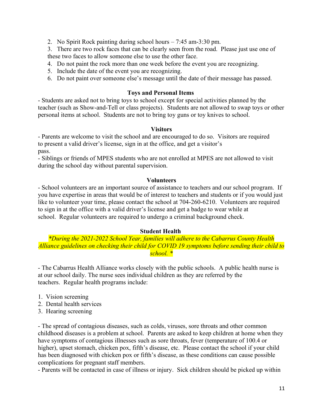2. No Spirit Rock painting during school hours  $-7:45$  am-3:30 pm.

3. There are two rock faces that can be clearly seen from the road. Please just use one of these two faces to allow someone else to use the other face.

- 4. Do not paint the rock more than one week before the event you are recognizing.
- 5. Include the date of the event you are recognizing.
- 6. Do not paint over someone else's message until the date of their message has passed.

# **Toys and Personal Items**

- Students are asked not to bring toys to school except for special activities planned by the teacher (such as Show-and-Tell or class projects). Students are not allowed to swap toys or other personal items at school. Students are not to bring toy guns or toy knives to school.

# **Visitors**

- Parents are welcome to visit the school and are encouraged to do so. Visitors are required to present a valid driver's license, sign in at the office, and get a visitor's pass.

- Siblings or friends of MPES students who are not enrolled at MPES are not allowed to visit during the school day without parental supervision.

# **Volunteers**

- School volunteers are an important source of assistance to teachers and our school program. If you have expertise in areas that would be of interest to teachers and students or if you would just like to volunteer your time, please contact the school at 704-260-6210. Volunteers are required to sign in at the office with a valid driver's license and get a badge to wear while at school. Regular volunteers are required to undergo a criminal background check.

# **Student Health**

*\*During the 2021-2022 School Year, families will adhere to the Cabarrus County Health Alliance guidelines on checking their child for COVID 19 symptoms before sending their child to school. \**

- The Cabarrus Health Alliance works closely with the public schools. A public health nurse is at our school daily. The nurse sees individual children as they are referred by the teachers. Regular health programs include:

- 1. Vision screening
- 2. Dental health services
- 3. Hearing screening

- The spread of contagious diseases, such as colds, viruses, sore throats and other common childhood diseases is a problem at school. Parents are asked to keep children at home when they have symptoms of contagious illnesses such as sore throats, fever (temperature of 100.4 or higher), upset stomach, chicken pox, fifth's disease, etc. Please contact the school if your child has been diagnosed with chicken pox or fifth's disease, as these conditions can cause possible complications for pregnant staff members.

- Parents will be contacted in case of illness or injury. Sick children should be picked up within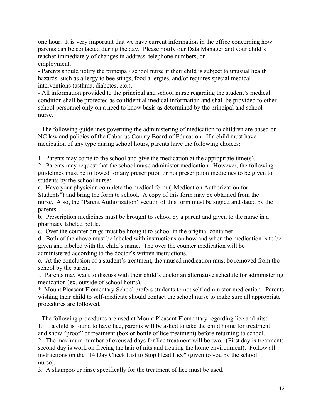one hour. It is very important that we have current information in the office concerning how parents can be contacted during the day. Please notify our Data Manager and your child's teacher immediately of changes in address, telephone numbers, or employment.

- Parents should notify the principal/ school nurse if their child is subject to unusual health hazards, such as allergy to bee stings, food allergies, and/or requires special medical interventions (asthma, diabetes, etc.).

- All information provided to the principal and school nurse regarding the student's medical condition shall be protected as confidential medical information and shall be provided to other school personnel only on a need to know basis as determined by the principal and school nurse.

- The following guidelines governing the administering of medication to children are based on NC law and policies of the Cabarrus County Board of Education. If a child must have medication of any type during school hours, parents have the following choices:

1. Parents may come to the school and give the medication at the appropriate time(s).

2. Parents may request that the school nurse administer medication. However, the following guidelines must be followed for any prescription or nonprescription medicines to be given to students by the school nurse:

a. Have your physician complete the medical form ("Medication Authorization for Students") and bring the form to school. A copy of this form may be obtained from the nurse. Also, the "Parent Authorization" section of this form must be signed and dated by the parents.

b. Prescription medicines must be brought to school by a parent and given to the nurse in a pharmacy labeled bottle.

c. Over the counter drugs must be brought to school in the original container.

d. Both of the above must be labeled with instructions on how and when the medication is to be given and labeled with the child's name. The over the counter medication will be administered according to the doctor's written instructions.

e. At the conclusion of a student's treatment, the unused medication must be removed from the school by the parent.

f. Parents may want to discuss with their child's doctor an alternative schedule for administering medication (ex. outside of school hours).

\* Mount Pleasant Elementary School prefers students to not self-administer medication. Parents wishing their child to self-medicate should contact the school nurse to make sure all appropriate procedures are followed.

- The following procedures are used at Mount Pleasant Elementary regarding lice and nits:

1. If a child is found to have lice, parents will be asked to take the child home for treatment and show "proof" of treatment (box or bottle of lice treatment) before returning to school.

2. The maximum number of excused days for lice treatment will be two. (First day is treatment; second day is work on freeing the hair of nits and treating the home environment). Follow all instructions on the "14 Day Check List to Stop Head Lice" (given to you by the school nurse).

3. A shampoo or rinse specifically for the treatment of lice must be used.